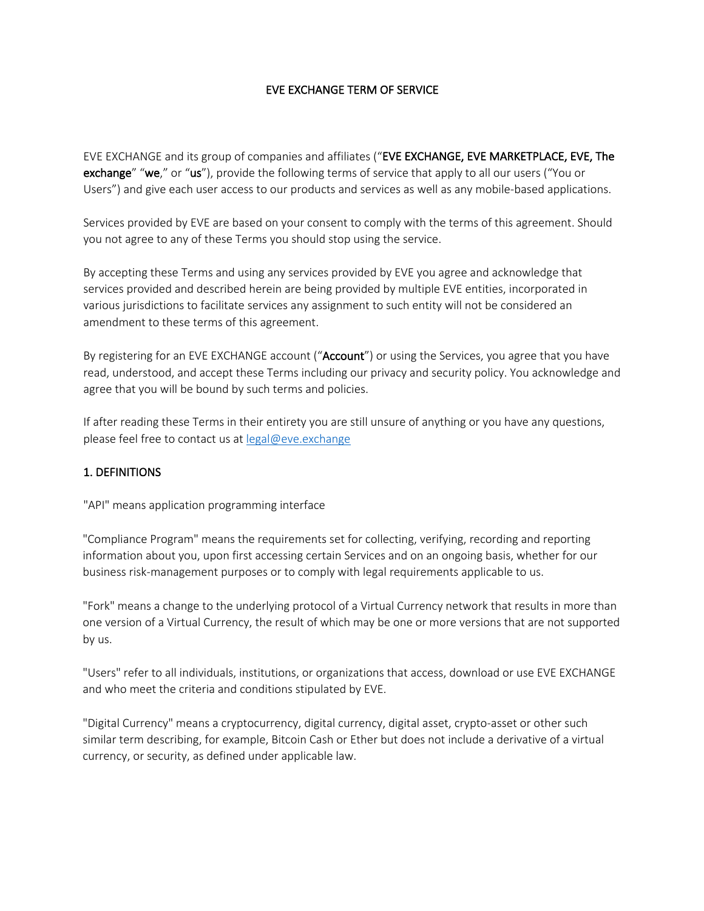### EVE EXCHANGE TERM OF SERVICE

EVE EXCHANGE and its group of companies and affiliates ("EVE EXCHANGE, EVE MARKETPLACE, EVE, The exchange" "we," or "us"), provide the following terms of service that apply to all our users ("You or Users") and give each user access to our products and services as well as any mobile-based applications.

Services provided by EVE are based on your consent to comply with the terms of this agreement. Should you not agree to any of these Terms you should stop using the service.

By accepting these Terms and using any services provided by EVE you agree and acknowledge that services provided and described herein are being provided by multiple EVE entities, incorporated in various jurisdictions to facilitate services any assignment to such entity will not be considered an amendment to these terms of this agreement.

By registering for an EVE EXCHANGE account ("Account") or using the Services, you agree that you have read, understood, and accept these Terms including our privacy and security policy. You acknowledge and agree that you will be bound by such terms and policies.

If after reading these Terms in their entirety you are still unsure of anything or you have any questions, please feel free to contact us at legal@eve.exchange

#### 1. DEFINITIONS

"API" means application programming interface

"Compliance Program" means the requirements set for collecting, verifying, recording and reporting information about you, upon first accessing certain Services and on an ongoing basis, whether for our business risk-management purposes or to comply with legal requirements applicable to us.

"Fork" means a change to the underlying protocol of a Virtual Currency network that results in more than one version of a Virtual Currency, the result of which may be one or more versions that are not supported by us.

"Users" refer to all individuals, institutions, or organizations that access, download or use EVE EXCHANGE and who meet the criteria and conditions stipulated by EVE.

"Digital Currency" means a cryptocurrency, digital currency, digital asset, crypto-asset or other such similar term describing, for example, Bitcoin Cash or Ether but does not include a derivative of a virtual currency, or security, as defined under applicable law.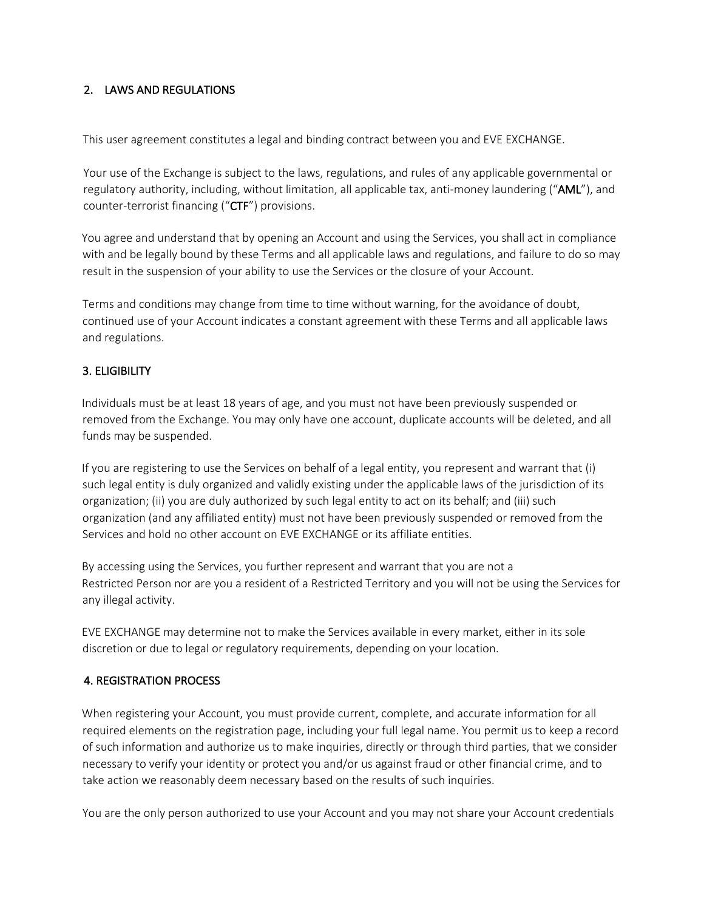## 2. LAWS AND REGULATIONS

This user agreement constitutes a legal and binding contract between you and EVE EXCHANGE.

Your use of the Exchange is subject to the laws, regulations, and rules of any applicable governmental or regulatory authority, including, without limitation, all applicable tax, anti-money laundering ("AML"), and counter-terrorist financing ("CTF") provisions.

You agree and understand that by opening an Account and using the Services, you shall act in compliance with and be legally bound by these Terms and all applicable laws and regulations, and failure to do so may result in the suspension of your ability to use the Services or the closure of your Account.

Terms and conditions may change from time to time without warning, for the avoidance of doubt, continued use of your Account indicates a constant agreement with these Terms and all applicable laws and regulations.

# 3. ELIGIBILITY

Individuals must be at least 18 years of age, and you must not have been previously suspended or removed from the Exchange. You may only have one account, duplicate accounts will be deleted, and all funds may be suspended.

If you are registering to use the Services on behalf of a legal entity, you represent and warrant that (i) such legal entity is duly organized and validly existing under the applicable laws of the jurisdiction of its organization; (ii) you are duly authorized by such legal entity to act on its behalf; and (iii) such organization (and any affiliated entity) must not have been previously suspended or removed from the Services and hold no other account on EVE EXCHANGE or its affiliate entities.

By accessing using the Services, you further represent and warrant that you are not a Restricted Person nor are you a resident of a Restricted Territory and you will not be using the Services for any illegal activity.

EVE EXCHANGE may determine not to make the Services available in every market, either in its sole discretion or due to legal or regulatory requirements, depending on your location.

## 4. REGISTRATION PROCESS

When registering your Account, you must provide current, complete, and accurate information for all required elements on the registration page, including your full legal name. You permit us to keep a record of such information and authorize us to make inquiries, directly or through third parties, that we consider necessary to verify your identity or protect you and/or us against fraud or other financial crime, and to take action we reasonably deem necessary based on the results of such inquiries.

You are the only person authorized to use your Account and you may not share your Account credentials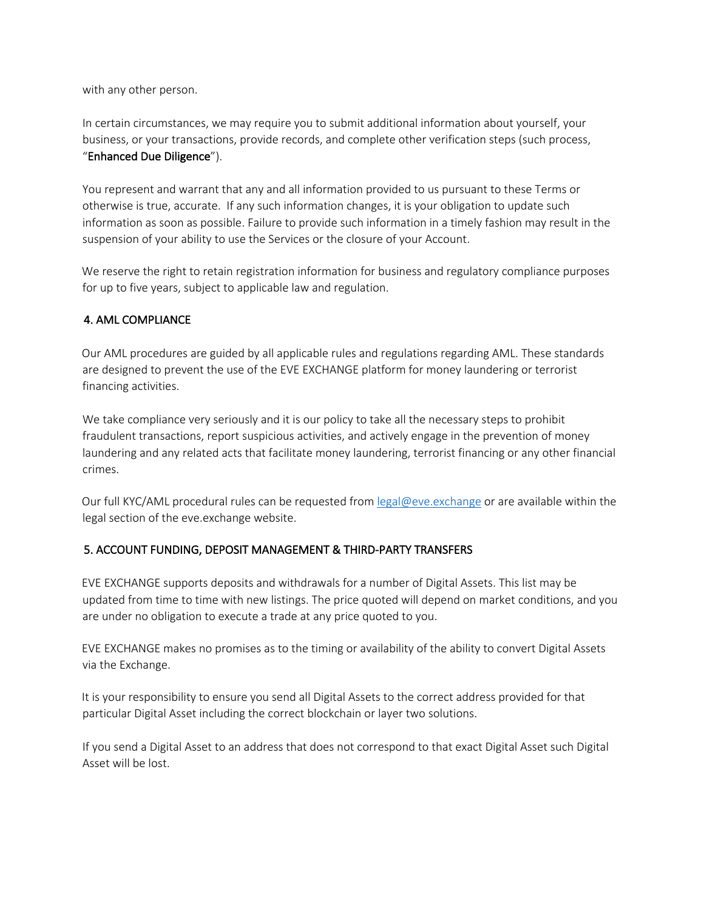with any other person.

In certain circumstances, we may require you to submit additional information about yourself, your business, or your transactions, provide records, and complete other verification steps (such process, "Enhanced Due Diligence").

You represent and warrant that any and all information provided to us pursuant to these Terms or otherwise is true, accurate. If any such information changes, it is your obligation to update such information as soon as possible. Failure to provide such information in a timely fashion may result in the suspension of your ability to use the Services or the closure of your Account.

We reserve the right to retain registration information for business and regulatory compliance purposes for up to five years, subject to applicable law and regulation.

### 4. AML COMPLIANCE

Our AML procedures are guided by all applicable rules and regulations regarding AML. These standards are designed to prevent the use of the EVE EXCHANGE platform for money laundering or terrorist financing activities.

We take compliance very seriously and it is our policy to take all the necessary steps to prohibit fraudulent transactions, report suspicious activities, and actively engage in the prevention of money laundering and any related acts that facilitate money laundering, terrorist financing or any other financial crimes.

Our full KYC/AML procedural rules can be requested from legal@eve.exchange or are available within the legal section of the eve.exchange website.

#### 5. ACCOUNT FUNDING, DEPOSIT MANAGEMENT & THIRD-PARTY TRANSFERS

EVE EXCHANGE supports deposits and withdrawals for a number of Digital Assets. This list may be updated from time to time with new listings. The price quoted will depend on market conditions, and you are under no obligation to execute a trade at any price quoted to you.

EVE EXCHANGE makes no promises as to the timing or availability of the ability to convert Digital Assets via the Exchange.

It is your responsibility to ensure you send all Digital Assets to the correct address provided for that particular Digital Asset including the correct blockchain or layer two solutions.

If you send a Digital Asset to an address that does not correspond to that exact Digital Asset such Digital Asset will be lost.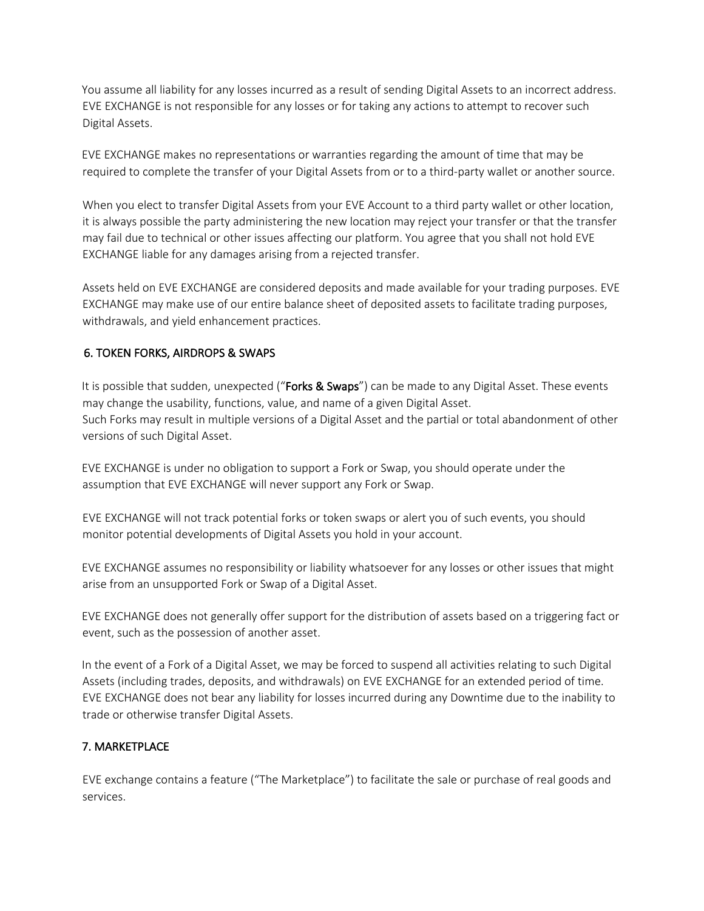You assume all liability for any losses incurred as a result of sending Digital Assets to an incorrect address. EVE EXCHANGE is not responsible for any losses or for taking any actions to attempt to recover such Digital Assets.

EVE EXCHANGE makes no representations or warranties regarding the amount of time that may be required to complete the transfer of your Digital Assets from or to a third-party wallet or another source.

When you elect to transfer Digital Assets from your EVE Account to a third party wallet or other location, it is always possible the party administering the new location may reject your transfer or that the transfer may fail due to technical or other issues affecting our platform. You agree that you shall not hold EVE EXCHANGE liable for any damages arising from a rejected transfer.

Assets held on EVE EXCHANGE are considered deposits and made available for your trading purposes. EVE EXCHANGE may make use of our entire balance sheet of deposited assets to facilitate trading purposes, withdrawals, and yield enhancement practices.

## 6. TOKEN FORKS, AIRDROPS & SWAPS

It is possible that sudden, unexpected ("Forks & Swaps") can be made to any Digital Asset. These events may change the usability, functions, value, and name of a given Digital Asset. Such Forks may result in multiple versions of a Digital Asset and the partial or total abandonment of other versions of such Digital Asset.

EVE EXCHANGE is under no obligation to support a Fork or Swap, you should operate under the assumption that EVE EXCHANGE will never support any Fork or Swap.

EVE EXCHANGE will not track potential forks or token swaps or alert you of such events, you should monitor potential developments of Digital Assets you hold in your account.

EVE EXCHANGE assumes no responsibility or liability whatsoever for any losses or other issues that might arise from an unsupported Fork or Swap of a Digital Asset.

EVE EXCHANGE does not generally offer support for the distribution of assets based on a triggering fact or event, such as the possession of another asset.

In the event of a Fork of a Digital Asset, we may be forced to suspend all activities relating to such Digital Assets (including trades, deposits, and withdrawals) on EVE EXCHANGE for an extended period of time. EVE EXCHANGE does not bear any liability for losses incurred during any Downtime due to the inability to trade or otherwise transfer Digital Assets.

# 7. MARKETPLACE

EVE exchange contains a feature ("The Marketplace") to facilitate the sale or purchase of real goods and services.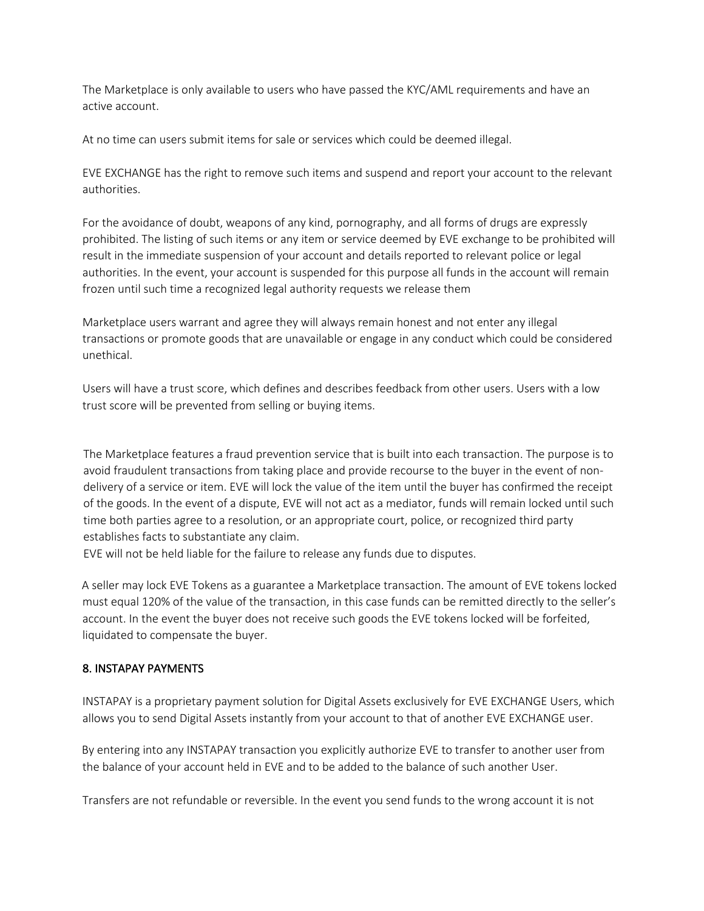The Marketplace is only available to users who have passed the KYC/AML requirements and have an active account.

At no time can users submit items for sale or services which could be deemed illegal.

EVE EXCHANGE has the right to remove such items and suspend and report your account to the relevant authorities.

For the avoidance of doubt, weapons of any kind, pornography, and all forms of drugs are expressly prohibited. The listing of such items or any item or service deemed by EVE exchange to be prohibited will result in the immediate suspension of your account and details reported to relevant police or legal authorities. In the event, your account is suspended for this purpose all funds in the account will remain frozen until such time a recognized legal authority requests we release them

Marketplace users warrant and agree they will always remain honest and not enter any illegal transactions or promote goods that are unavailable or engage in any conduct which could be considered unethical.

Users will have a trust score, which defines and describes feedback from other users. Users with a low trust score will be prevented from selling or buying items.

The Marketplace features a fraud prevention service that is built into each transaction. The purpose is to avoid fraudulent transactions from taking place and provide recourse to the buyer in the event of nondelivery of a service or item. EVE will lock the value of the item until the buyer has confirmed the receipt of the goods. In the event of a dispute, EVE will not act as a mediator, funds will remain locked until such time both parties agree to a resolution, or an appropriate court, police, or recognized third party establishes facts to substantiate any claim.

EVE will not be held liable for the failure to release any funds due to disputes.

A seller may lock EVE Tokens as a guarantee a Marketplace transaction. The amount of EVE tokens locked must equal 120% of the value of the transaction, in this case funds can be remitted directly to the seller's account. In the event the buyer does not receive such goods the EVE tokens locked will be forfeited, liquidated to compensate the buyer.

## 8. INSTAPAY PAYMENTS

INSTAPAY is a proprietary payment solution for Digital Assets exclusively for EVE EXCHANGE Users, which allows you to send Digital Assets instantly from your account to that of another EVE EXCHANGE user.

By entering into any INSTAPAY transaction you explicitly authorize EVE to transfer to another user from the balance of your account held in EVE and to be added to the balance of such another User.

Transfers are not refundable or reversible. In the event you send funds to the wrong account it is not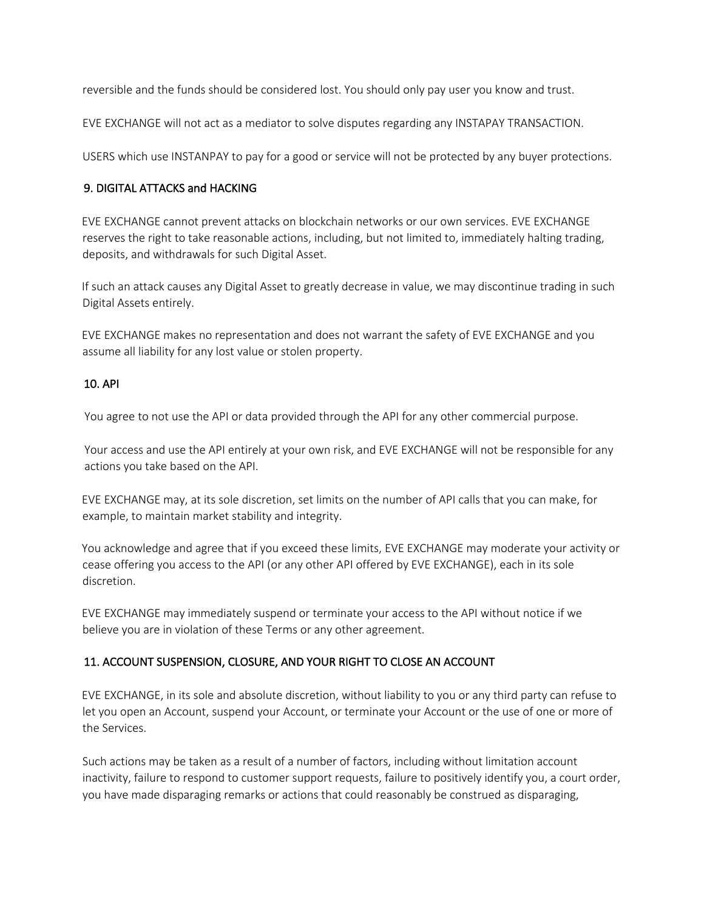reversible and the funds should be considered lost. You should only pay user you know and trust.

EVE EXCHANGE will not act as a mediator to solve disputes regarding any INSTAPAY TRANSACTION.

USERS which use INSTANPAY to pay for a good or service will not be protected by any buyer protections.

### 9. DIGITAL ATTACKS and HACKING

EVE EXCHANGE cannot prevent attacks on blockchain networks or our own services. EVE EXCHANGE reserves the right to take reasonable actions, including, but not limited to, immediately halting trading, deposits, and withdrawals for such Digital Asset.

If such an attack causes any Digital Asset to greatly decrease in value, we may discontinue trading in such Digital Assets entirely.

EVE EXCHANGE makes no representation and does not warrant the safety of EVE EXCHANGE and you assume all liability for any lost value or stolen property.

### 10. API

You agree to not use the API or data provided through the API for any other commercial purpose.

Your access and use the API entirely at your own risk, and EVE EXCHANGE will not be responsible for any actions you take based on the API.

EVE EXCHANGE may, at its sole discretion, set limits on the number of API calls that you can make, for example, to maintain market stability and integrity.

You acknowledge and agree that if you exceed these limits, EVE EXCHANGE may moderate your activity or cease offering you access to the API (or any other API offered by EVE EXCHANGE), each in its sole discretion.

EVE EXCHANGE may immediately suspend or terminate your access to the API without notice if we believe you are in violation of these Terms or any other agreement.

# 11. ACCOUNT SUSPENSION, CLOSURE, AND YOUR RIGHT TO CLOSE AN ACCOUNT

EVE EXCHANGE, in its sole and absolute discretion, without liability to you or any third party can refuse to let you open an Account, suspend your Account, or terminate your Account or the use of one or more of the Services.

Such actions may be taken as a result of a number of factors, including without limitation account inactivity, failure to respond to customer support requests, failure to positively identify you, a court order, you have made disparaging remarks or actions that could reasonably be construed as disparaging,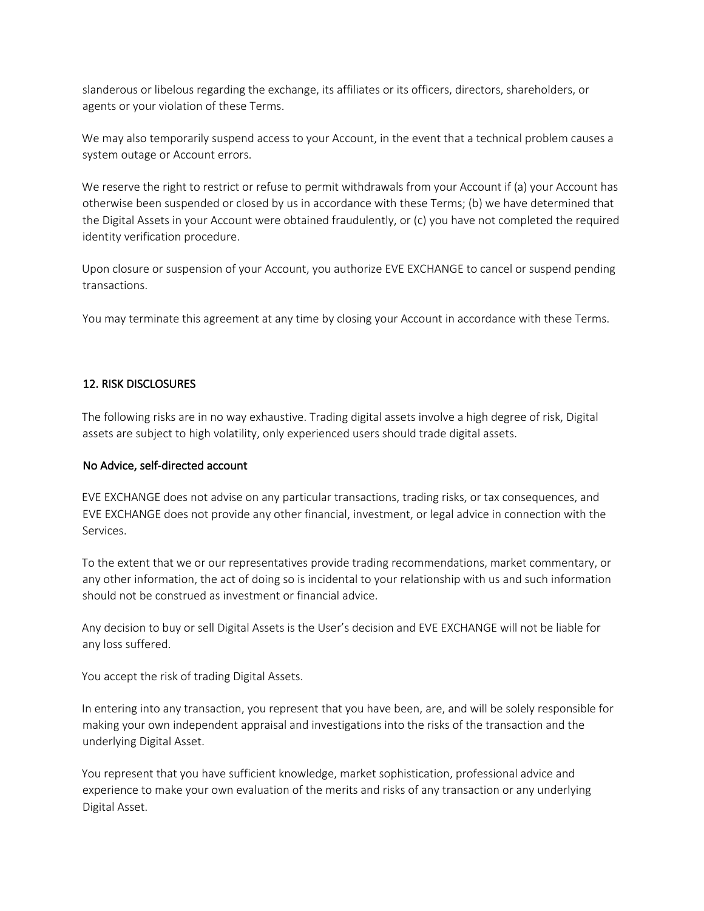slanderous or libelous regarding the exchange, its affiliates or its officers, directors, shareholders, or agents or your violation of these Terms.

We may also temporarily suspend access to your Account, in the event that a technical problem causes a system outage or Account errors.

We reserve the right to restrict or refuse to permit withdrawals from your Account if (a) your Account has otherwise been suspended or closed by us in accordance with these Terms; (b) we have determined that the Digital Assets in your Account were obtained fraudulently, or (c) you have not completed the required identity verification procedure.

Upon closure or suspension of your Account, you authorize EVE EXCHANGE to cancel or suspend pending transactions.

You may terminate this agreement at any time by closing your Account in accordance with these Terms.

## 12. RISK DISCLOSURES

The following risks are in no way exhaustive. Trading digital assets involve a high degree of risk, Digital assets are subject to high volatility, only experienced users should trade digital assets.

#### No Advice, self-directed account

EVE EXCHANGE does not advise on any particular transactions, trading risks, or tax consequences, and EVE EXCHANGE does not provide any other financial, investment, or legal advice in connection with the Services.

To the extent that we or our representatives provide trading recommendations, market commentary, or any other information, the act of doing so is incidental to your relationship with us and such information should not be construed as investment or financial advice.

Any decision to buy or sell Digital Assets is the User's decision and EVE EXCHANGE will not be liable for any loss suffered.

You accept the risk of trading Digital Assets.

In entering into any transaction, you represent that you have been, are, and will be solely responsible for making your own independent appraisal and investigations into the risks of the transaction and the underlying Digital Asset.

You represent that you have sufficient knowledge, market sophistication, professional advice and experience to make your own evaluation of the merits and risks of any transaction or any underlying Digital Asset.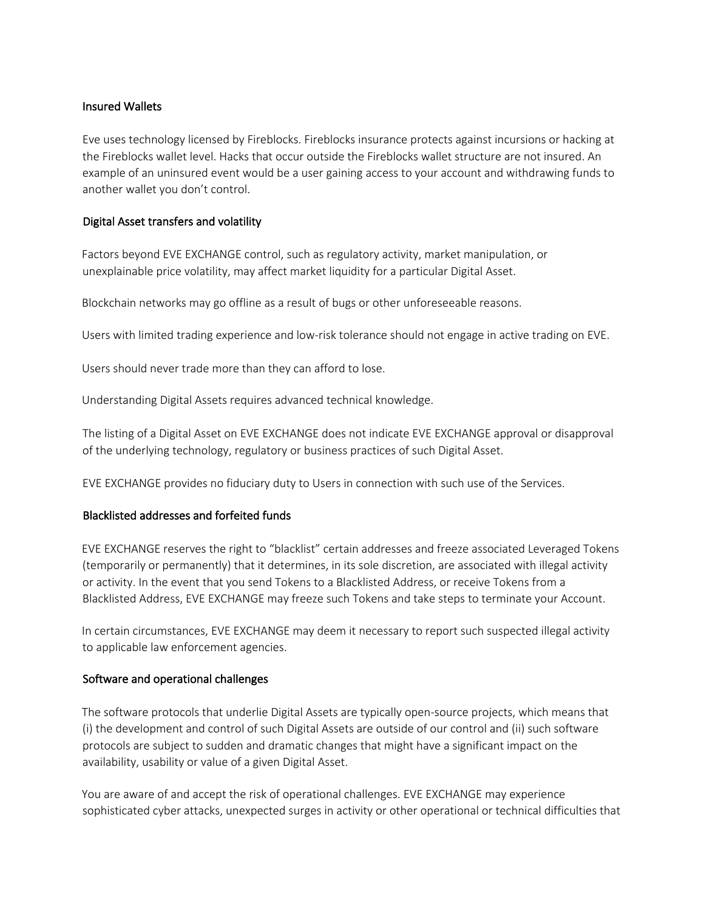#### Insured Wallets

Eve uses technology licensed by Fireblocks. Fireblocks insurance protects against incursions or hacking at the Fireblocks wallet level. Hacks that occur outside the Fireblocks wallet structure are not insured. An example of an uninsured event would be a user gaining access to your account and withdrawing funds to another wallet you don't control.

### Digital Asset transfers and volatility

Factors beyond EVE EXCHANGE control, such as regulatory activity, market manipulation, or unexplainable price volatility, may affect market liquidity for a particular Digital Asset.

Blockchain networks may go offline as a result of bugs or other unforeseeable reasons.

Users with limited trading experience and low-risk tolerance should not engage in active trading on EVE.

Users should never trade more than they can afford to lose.

Understanding Digital Assets requires advanced technical knowledge.

The listing of a Digital Asset on EVE EXCHANGE does not indicate EVE EXCHANGE approval or disapproval of the underlying technology, regulatory or business practices of such Digital Asset.

EVE EXCHANGE provides no fiduciary duty to Users in connection with such use of the Services.

#### Blacklisted addresses and forfeited funds

EVE EXCHANGE reserves the right to "blacklist" certain addresses and freeze associated Leveraged Tokens (temporarily or permanently) that it determines, in its sole discretion, are associated with illegal activity or activity. In the event that you send Tokens to a Blacklisted Address, or receive Tokens from a Blacklisted Address, EVE EXCHANGE may freeze such Tokens and take steps to terminate your Account.

In certain circumstances, EVE EXCHANGE may deem it necessary to report such suspected illegal activity to applicable law enforcement agencies.

#### Software and operational challenges

The software protocols that underlie Digital Assets are typically open-source projects, which means that (i) the development and control of such Digital Assets are outside of our control and (ii) such software protocols are subject to sudden and dramatic changes that might have a significant impact on the availability, usability or value of a given Digital Asset.

You are aware of and accept the risk of operational challenges. EVE EXCHANGE may experience sophisticated cyber attacks, unexpected surges in activity or other operational or technical difficulties that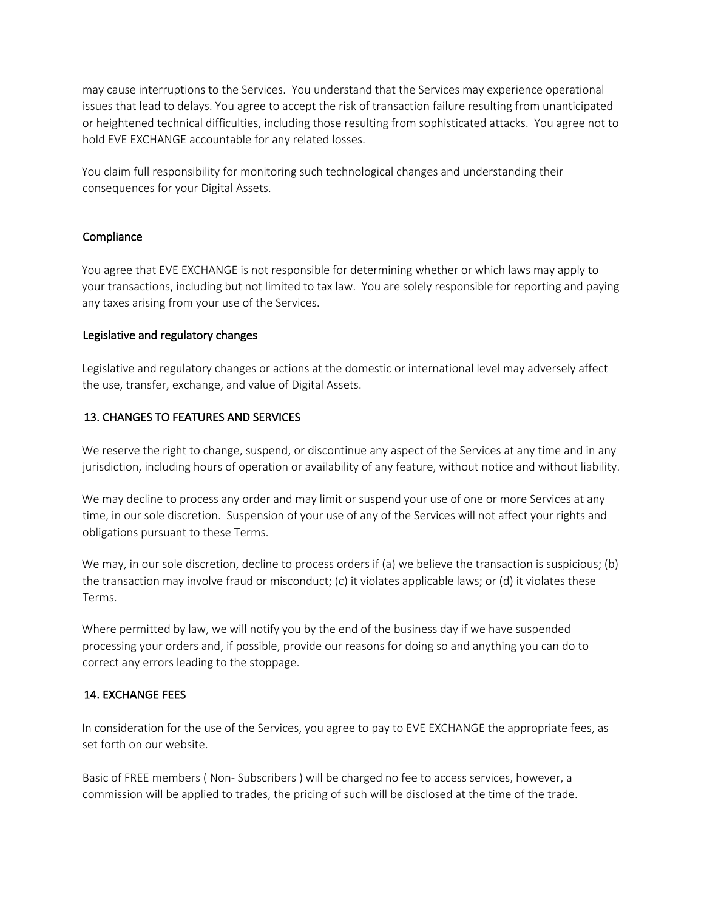may cause interruptions to the Services. You understand that the Services may experience operational issues that lead to delays. You agree to accept the risk of transaction failure resulting from unanticipated or heightened technical difficulties, including those resulting from sophisticated attacks. You agree not to hold EVE EXCHANGE accountable for any related losses.

You claim full responsibility for monitoring such technological changes and understanding their consequences for your Digital Assets.

## **Compliance**

You agree that EVE EXCHANGE is not responsible for determining whether or which laws may apply to your transactions, including but not limited to tax law. You are solely responsible for reporting and paying any taxes arising from your use of the Services.

#### Legislative and regulatory changes

Legislative and regulatory changes or actions at the domestic or international level may adversely affect the use, transfer, exchange, and value of Digital Assets.

# 13. CHANGES TO FEATURES AND SERVICES

We reserve the right to change, suspend, or discontinue any aspect of the Services at any time and in any jurisdiction, including hours of operation or availability of any feature, without notice and without liability.

We may decline to process any order and may limit or suspend your use of one or more Services at any time, in our sole discretion. Suspension of your use of any of the Services will not affect your rights and obligations pursuant to these Terms.

We may, in our sole discretion, decline to process orders if (a) we believe the transaction is suspicious; (b) the transaction may involve fraud or misconduct; (c) it violates applicable laws; or (d) it violates these Terms.

Where permitted by law, we will notify you by the end of the business day if we have suspended processing your orders and, if possible, provide our reasons for doing so and anything you can do to correct any errors leading to the stoppage.

#### 14. EXCHANGE FEES

In consideration for the use of the Services, you agree to pay to EVE EXCHANGE the appropriate fees, as set forth on our website.

Basic of FREE members ( Non- Subscribers ) will be charged no fee to access services, however, a commission will be applied to trades, the pricing of such will be disclosed at the time of the trade.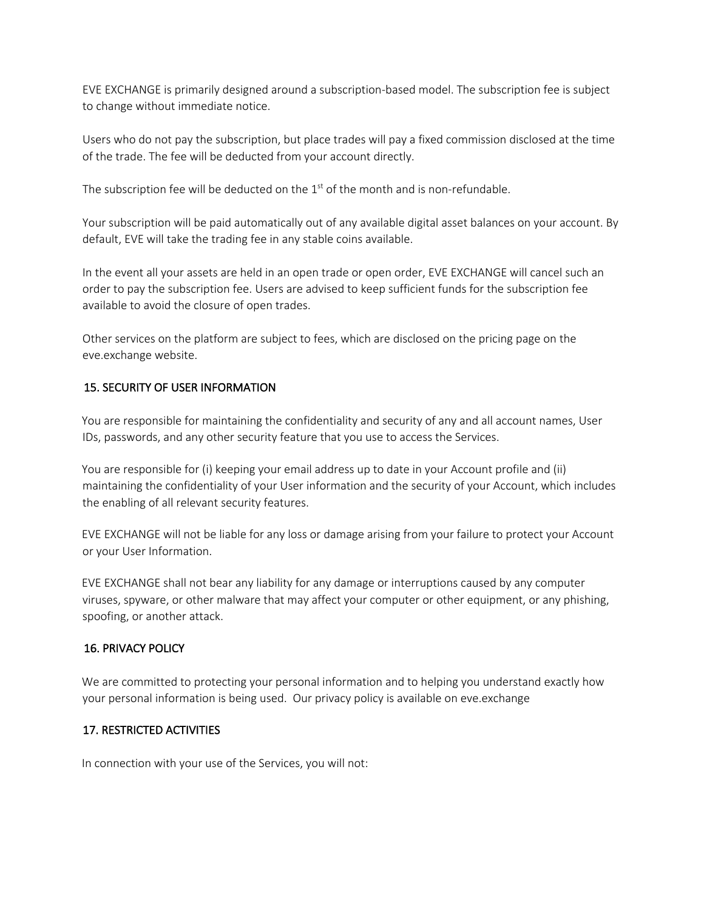EVE EXCHANGE is primarily designed around a subscription-based model. The subscription fee is subject to change without immediate notice.

Users who do not pay the subscription, but place trades will pay a fixed commission disclosed at the time of the trade. The fee will be deducted from your account directly.

The subscription fee will be deducted on the  $1<sup>st</sup>$  of the month and is non-refundable.

Your subscription will be paid automatically out of any available digital asset balances on your account. By default, EVE will take the trading fee in any stable coins available.

In the event all your assets are held in an open trade or open order, EVE EXCHANGE will cancel such an order to pay the subscription fee. Users are advised to keep sufficient funds for the subscription fee available to avoid the closure of open trades.

Other services on the platform are subject to fees, which are disclosed on the pricing page on the eve.exchange website.

## 15. SECURITY OF USER INFORMATION

You are responsible for maintaining the confidentiality and security of any and all account names, User IDs, passwords, and any other security feature that you use to access the Services.

You are responsible for (i) keeping your email address up to date in your Account profile and (ii) maintaining the confidentiality of your User information and the security of your Account, which includes the enabling of all relevant security features.

EVE EXCHANGE will not be liable for any loss or damage arising from your failure to protect your Account or your User Information.

EVE EXCHANGE shall not bear any liability for any damage or interruptions caused by any computer viruses, spyware, or other malware that may affect your computer or other equipment, or any phishing, spoofing, or another attack.

#### 16. PRIVACY POLICY

We are committed to protecting your personal information and to helping you understand exactly how your personal information is being used. Our privacy policy is available on eve.exchange

#### 17. RESTRICTED ACTIVITIES

In connection with your use of the Services, you will not: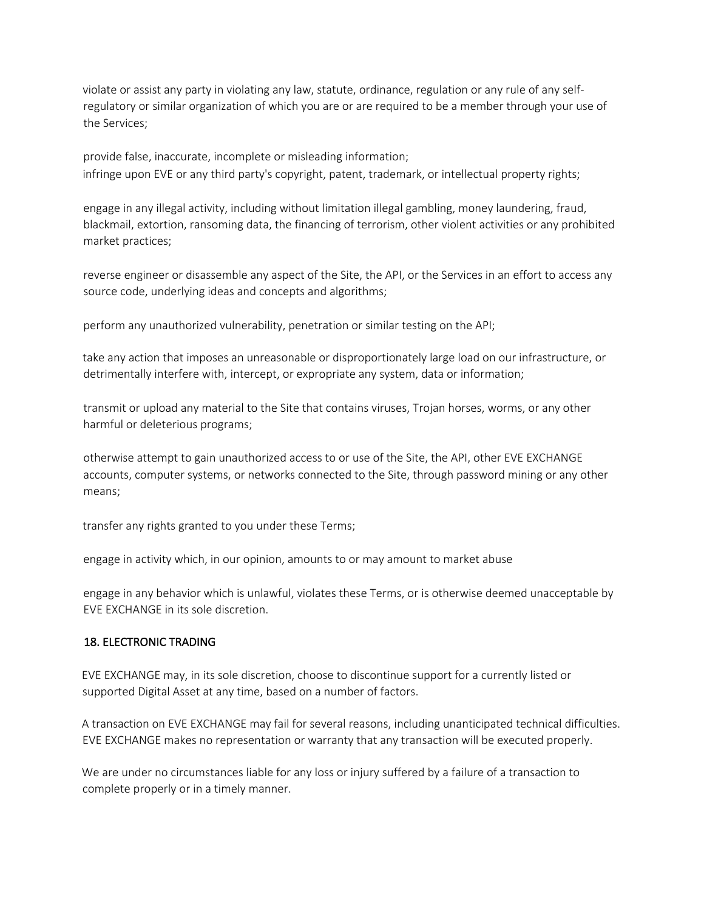violate or assist any party in violating any law, statute, ordinance, regulation or any rule of any selfregulatory or similar organization of which you are or are required to be a member through your use of the Services;

provide false, inaccurate, incomplete or misleading information; infringe upon EVE or any third party's copyright, patent, trademark, or intellectual property rights;

engage in any illegal activity, including without limitation illegal gambling, money laundering, fraud, blackmail, extortion, ransoming data, the financing of terrorism, other violent activities or any prohibited market practices;

reverse engineer or disassemble any aspect of the Site, the API, or the Services in an effort to access any source code, underlying ideas and concepts and algorithms;

perform any unauthorized vulnerability, penetration or similar testing on the API;

take any action that imposes an unreasonable or disproportionately large load on our infrastructure, or detrimentally interfere with, intercept, or expropriate any system, data or information;

transmit or upload any material to the Site that contains viruses, Trojan horses, worms, or any other harmful or deleterious programs;

otherwise attempt to gain unauthorized access to or use of the Site, the API, other EVE EXCHANGE accounts, computer systems, or networks connected to the Site, through password mining or any other means;

transfer any rights granted to you under these Terms;

engage in activity which, in our opinion, amounts to or may amount to market abuse

engage in any behavior which is unlawful, violates these Terms, or is otherwise deemed unacceptable by EVE EXCHANGE in its sole discretion.

## 18. ELECTRONIC TRADING

EVE EXCHANGE may, in its sole discretion, choose to discontinue support for a currently listed or supported Digital Asset at any time, based on a number of factors.

A transaction on EVE EXCHANGE may fail for several reasons, including unanticipated technical difficulties. EVE EXCHANGE makes no representation or warranty that any transaction will be executed properly.

We are under no circumstances liable for any loss or injury suffered by a failure of a transaction to complete properly or in a timely manner.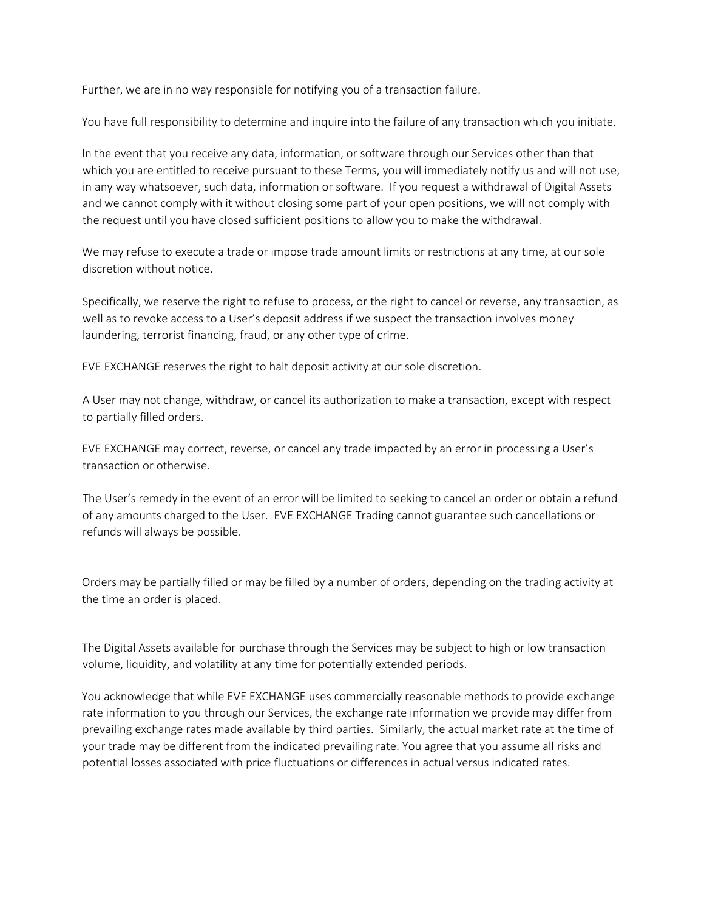Further, we are in no way responsible for notifying you of a transaction failure.

You have full responsibility to determine and inquire into the failure of any transaction which you initiate.

In the event that you receive any data, information, or software through our Services other than that which you are entitled to receive pursuant to these Terms, you will immediately notify us and will not use, in any way whatsoever, such data, information or software. If you request a withdrawal of Digital Assets and we cannot comply with it without closing some part of your open positions, we will not comply with the request until you have closed sufficient positions to allow you to make the withdrawal.

We may refuse to execute a trade or impose trade amount limits or restrictions at any time, at our sole discretion without notice.

Specifically, we reserve the right to refuse to process, or the right to cancel or reverse, any transaction, as well as to revoke access to a User's deposit address if we suspect the transaction involves money laundering, terrorist financing, fraud, or any other type of crime.

EVE EXCHANGE reserves the right to halt deposit activity at our sole discretion.

A User may not change, withdraw, or cancel its authorization to make a transaction, except with respect to partially filled orders.

EVE EXCHANGE may correct, reverse, or cancel any trade impacted by an error in processing a User's transaction or otherwise.

The User's remedy in the event of an error will be limited to seeking to cancel an order or obtain a refund of any amounts charged to the User. EVE EXCHANGE Trading cannot guarantee such cancellations or refunds will always be possible.

Orders may be partially filled or may be filled by a number of orders, depending on the trading activity at the time an order is placed.

The Digital Assets available for purchase through the Services may be subject to high or low transaction volume, liquidity, and volatility at any time for potentially extended periods.

You acknowledge that while EVE EXCHANGE uses commercially reasonable methods to provide exchange rate information to you through our Services, the exchange rate information we provide may differ from prevailing exchange rates made available by third parties. Similarly, the actual market rate at the time of your trade may be different from the indicated prevailing rate. You agree that you assume all risks and potential losses associated with price fluctuations or differences in actual versus indicated rates.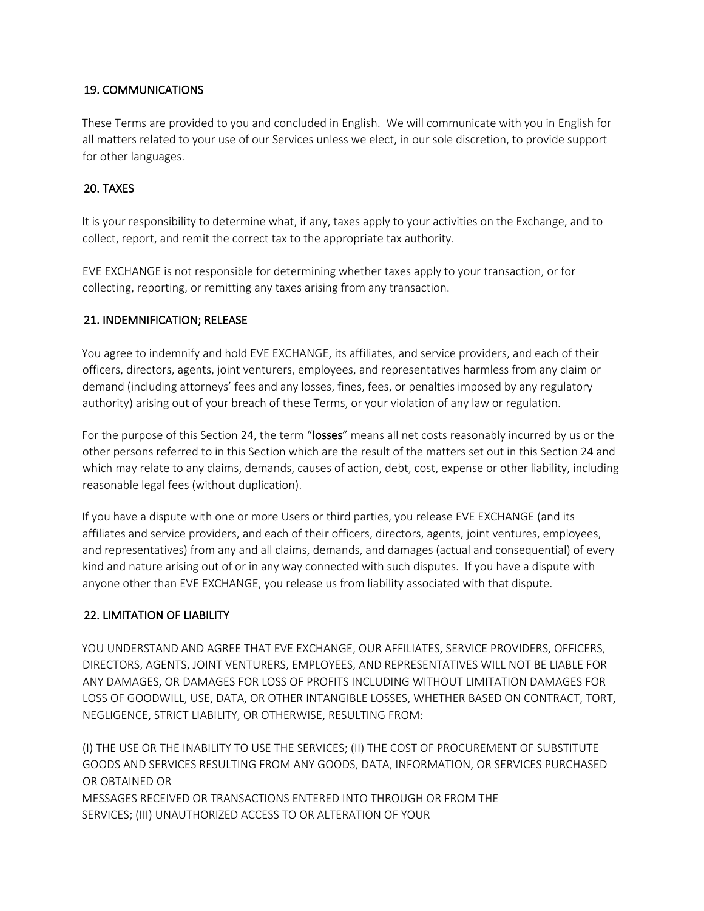### 19. COMMUNICATIONS

These Terms are provided to you and concluded in English. We will communicate with you in English for all matters related to your use of our Services unless we elect, in our sole discretion, to provide support for other languages.

### 20. TAXES

It is your responsibility to determine what, if any, taxes apply to your activities on the Exchange, and to collect, report, and remit the correct tax to the appropriate tax authority.

EVE EXCHANGE is not responsible for determining whether taxes apply to your transaction, or for collecting, reporting, or remitting any taxes arising from any transaction.

### 21. INDEMNIFICATION; RELEASE

You agree to indemnify and hold EVE EXCHANGE, its affiliates, and service providers, and each of their officers, directors, agents, joint venturers, employees, and representatives harmless from any claim or demand (including attorneys' fees and any losses, fines, fees, or penalties imposed by any regulatory authority) arising out of your breach of these Terms, or your violation of any law or regulation.

For the purpose of this Section 24, the term "losses" means all net costs reasonably incurred by us or the other persons referred to in this Section which are the result of the matters set out in this Section 24 and which may relate to any claims, demands, causes of action, debt, cost, expense or other liability, including reasonable legal fees (without duplication).

If you have a dispute with one or more Users or third parties, you release EVE EXCHANGE (and its affiliates and service providers, and each of their officers, directors, agents, joint ventures, employees, and representatives) from any and all claims, demands, and damages (actual and consequential) of every kind and nature arising out of or in any way connected with such disputes. If you have a dispute with anyone other than EVE EXCHANGE, you release us from liability associated with that dispute.

#### 22. LIMITATION OF LIABILITY

YOU UNDERSTAND AND AGREE THAT EVE EXCHANGE, OUR AFFILIATES, SERVICE PROVIDERS, OFFICERS, DIRECTORS, AGENTS, JOINT VENTURERS, EMPLOYEES, AND REPRESENTATIVES WILL NOT BE LIABLE FOR ANY DAMAGES, OR DAMAGES FOR LOSS OF PROFITS INCLUDING WITHOUT LIMITATION DAMAGES FOR LOSS OF GOODWILL, USE, DATA, OR OTHER INTANGIBLE LOSSES, WHETHER BASED ON CONTRACT, TORT, NEGLIGENCE, STRICT LIABILITY, OR OTHERWISE, RESULTING FROM:

(I) THE USE OR THE INABILITY TO USE THE SERVICES; (II) THE COST OF PROCUREMENT OF SUBSTITUTE GOODS AND SERVICES RESULTING FROM ANY GOODS, DATA, INFORMATION, OR SERVICES PURCHASED OR OBTAINED OR MESSAGES RECEIVED OR TRANSACTIONS ENTERED INTO THROUGH OR FROM THE SERVICES; (III) UNAUTHORIZED ACCESS TO OR ALTERATION OF YOUR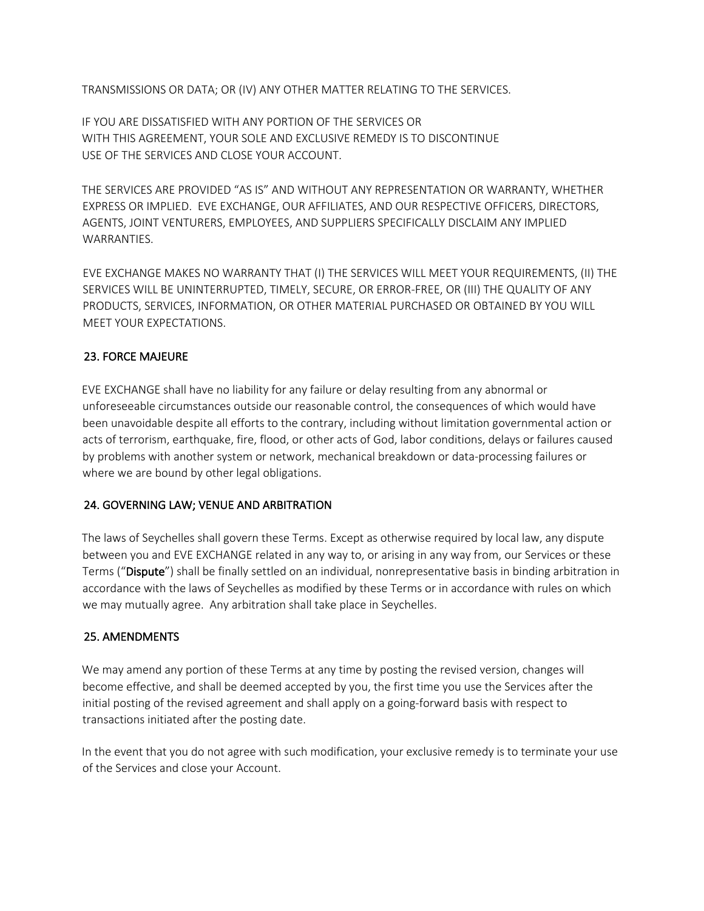TRANSMISSIONS OR DATA; OR (IV) ANY OTHER MATTER RELATING TO THE SERVICES.

IF YOU ARE DISSATISFIED WITH ANY PORTION OF THE SERVICES OR WITH THIS AGREEMENT, YOUR SOLE AND EXCLUSIVE REMEDY IS TO DISCONTINUE USE OF THE SERVICES AND CLOSE YOUR ACCOUNT.

THE SERVICES ARE PROVIDED "AS IS" AND WITHOUT ANY REPRESENTATION OR WARRANTY, WHETHER EXPRESS OR IMPLIED. EVE EXCHANGE, OUR AFFILIATES, AND OUR RESPECTIVE OFFICERS, DIRECTORS, AGENTS, JOINT VENTURERS, EMPLOYEES, AND SUPPLIERS SPECIFICALLY DISCLAIM ANY IMPLIED WARRANTIES.

EVE EXCHANGE MAKES NO WARRANTY THAT (I) THE SERVICES WILL MEET YOUR REQUIREMENTS, (II) THE SERVICES WILL BE UNINTERRUPTED, TIMELY, SECURE, OR ERROR-FREE, OR (III) THE QUALITY OF ANY PRODUCTS, SERVICES, INFORMATION, OR OTHER MATERIAL PURCHASED OR OBTAINED BY YOU WILL MEET YOUR EXPECTATIONS.

## 23. FORCE MAJEURE

EVE EXCHANGE shall have no liability for any failure or delay resulting from any abnormal or unforeseeable circumstances outside our reasonable control, the consequences of which would have been unavoidable despite all efforts to the contrary, including without limitation governmental action or acts of terrorism, earthquake, fire, flood, or other acts of God, labor conditions, delays or failures caused by problems with another system or network, mechanical breakdown or data-processing failures or where we are bound by other legal obligations.

#### 24. GOVERNING LAW; VENUE AND ARBITRATION

The laws of Seychelles shall govern these Terms. Except as otherwise required by local law, any dispute between you and EVE EXCHANGE related in any way to, or arising in any way from, our Services or these Terms ("Dispute") shall be finally settled on an individual, nonrepresentative basis in binding arbitration in accordance with the laws of Seychelles as modified by these Terms or in accordance with rules on which we may mutually agree. Any arbitration shall take place in Seychelles.

#### 25. AMENDMENTS

We may amend any portion of these Terms at any time by posting the revised version, changes will become effective, and shall be deemed accepted by you, the first time you use the Services after the initial posting of the revised agreement and shall apply on a going-forward basis with respect to transactions initiated after the posting date.

In the event that you do not agree with such modification, your exclusive remedy is to terminate your use of the Services and close your Account.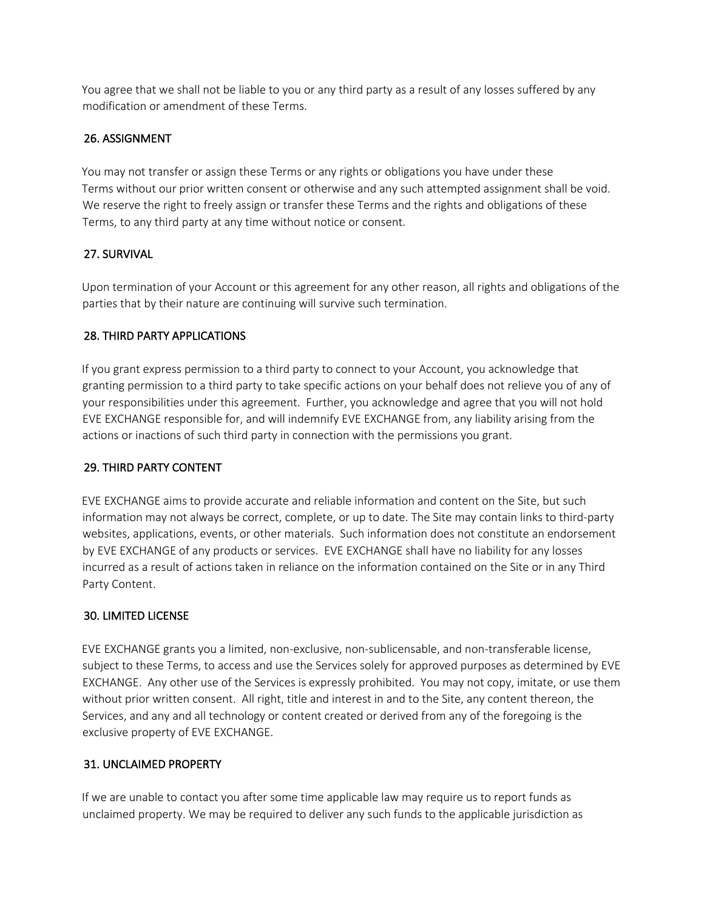You agree that we shall not be liable to you or any third party as a result of any losses suffered by any modification or amendment of these Terms.

# 26. ASSIGNMENT

You may not transfer or assign these Terms or any rights or obligations you have under these Terms without our prior written consent or otherwise and any such attempted assignment shall be void. We reserve the right to freely assign or transfer these Terms and the rights and obligations of these Terms, to any third party at any time without notice or consent.

# 27. SURVIVAL

Upon termination of your Account or this agreement for any other reason, all rights and obligations of the parties that by their nature are continuing will survive such termination.

# 28. THIRD PARTY APPLICATIONS

If you grant express permission to a third party to connect to your Account, you acknowledge that granting permission to a third party to take specific actions on your behalf does not relieve you of any of your responsibilities under this agreement. Further, you acknowledge and agree that you will not hold EVE EXCHANGE responsible for, and will indemnify EVE EXCHANGE from, any liability arising from the actions or inactions of such third party in connection with the permissions you grant.

## 29. THIRD PARTY CONTENT

EVE EXCHANGE aims to provide accurate and reliable information and content on the Site, but such information may not always be correct, complete, or up to date. The Site may contain links to third-party websites, applications, events, or other materials. Such information does not constitute an endorsement by EVE EXCHANGE of any products or services. EVE EXCHANGE shall have no liability for any losses incurred as a result of actions taken in reliance on the information contained on the Site or in any Third Party Content.

## 30. LIMITED LICENSE

EVE EXCHANGE grants you a limited, non-exclusive, non-sublicensable, and non-transferable license, subject to these Terms, to access and use the Services solely for approved purposes as determined by EVE EXCHANGE. Any other use of the Services is expressly prohibited. You may not copy, imitate, or use them without prior written consent. All right, title and interest in and to the Site, any content thereon, the Services, and any and all technology or content created or derived from any of the foregoing is the exclusive property of EVE EXCHANGE.

## 31. UNCLAIMED PROPERTY

If we are unable to contact you after some time applicable law may require us to report funds as unclaimed property. We may be required to deliver any such funds to the applicable jurisdiction as